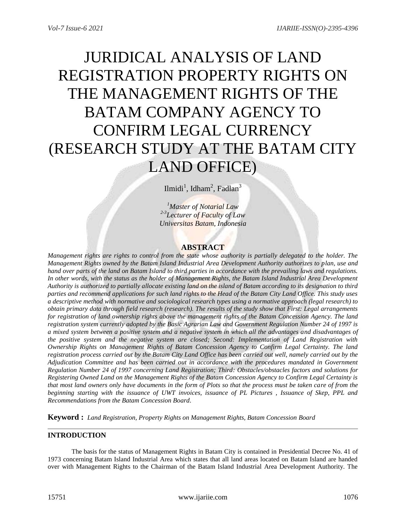# JURIDICAL ANALYSIS OF LAND REGISTRATION PROPERTY RIGHTS ON THE MANAGEMENT RIGHTS OF THE BATAM COMPANY AGENCY TO CONFIRM LEGAL CURRENCY (RESEARCH STUDY AT THE BATAM CITY LAND OFFICE)

Ilmidi<sup>1</sup>, Idham<sup>2</sup>, Fadlan<sup>3</sup>

*<sup>1</sup>Master of Notarial Law 2-3 Lecturer of Faculty of Law Universitas Batam, Indonesia*

# **ABSTRACT**

*Management rights are rights to control from the state whose authority is partially delegated to the holder. The Management Rights owned by the Batam Island Industrial Area Development Authority authorizes to plan, use and hand over parts of the land on Batam Island to third parties in accordance with the prevailing laws and regulations.*  In other words, with the status as the holder of Management Rights, the Batam Island Industrial Area Development *Authority is authorized to partially allocate existing land on the island of Batam according to its designation to third parties and recommend applications for such land rights to the Head of the Batam City Land Office. This study uses a descriptive method with normative and sociological research types using a normative approach (legal research) to obtain primary data through field research (research). The results of the study show that First: Legal arrangements for registration of land ownership rights above the management rights of the Batam Concession Agency. The land registration system currently adopted by the Basic Agrarian Law and Government Regulation Number 24 of 1997 is a mixed system between a positive system and a negative system in which all the advantages and disadvantages of the positive system and the negative system are closed; Second: Implementation of Land Registration with Ownership Rights on Management Rights of Batam Concession Agency to Confirm Legal Certainty. The land registration process carried out by the Batam City Land Office has been carried out well, namely carried out by the Adjudication Committee and has been carried out in accordance with the procedures mandated in Government Regulation Number 24 of 1997 concerning Land Registration; Third: Obstacles/obstacles factors and solutions for Registering Owned Land on the Management Rights of the Batam Concession Agency to Confirm Legal Certainty is that most land owners only have documents in the form of Plots so that the process must be taken care of from the beginning starting with the issuance of UWT invoices, issuance of PL Pictures , Issuance of Skep, PPL and Recommendations from the Batam Concession Board.*

**Keyword :** *Land Registration, Property Rights on Management Rights, Batam Concession Board*

# **INTRODUCTION**

The basis for the status of Management Rights in Batam City is contained in Presidential Decree No. 41 of 1973 concerning Batam Island Industrial Area which states that all land areas located on Batam Island are handed over with Management Rights to the Chairman of the Batam Island Industrial Area Development Authority. The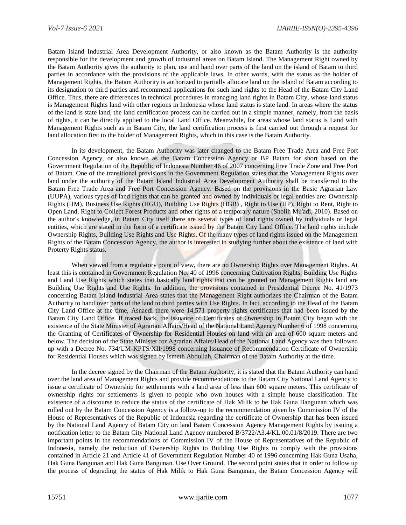Batam Island Industrial Area Development Authority, or also known as the Batam Authority is the authority responsible for the development and growth of industrial areas on Batam Island. The Management Right owned by the Batam Authority gives the authority to plan, use and hand over parts of the land on the island of Batam to third parties in accordance with the provisions of the applicable laws. In other words, with the status as the holder of Management Rights, the Batam Authority is authorized to partially allocate land on the island of Batam according to its designation to third parties and recommend applications for such land rights to the Head of the Batam City Land Office. Thus, there are differences in technical procedures in managing land rights in Batam City, whose land status is Management Rights land with other regions in Indonesia whose land status is state land. In areas where the status of the land is state land, the land certification process can be carried out in a simple manner, namely, from the basis of rights, it can be directly applied to the local Land Office. Meanwhile, for areas whose land status is Land with Management Rights such as in Batam City, the land certification process is first carried out through a request for land allocation first to the holder of Management Rights, which in this case is the Batam Authority.

In its development, the Batam Authority was later changed to the Batam Free Trade Area and Free Port Concession Agency, or also known as the Batam Concession Agency or BP Batam for short based on the Government Regulation of the Republic of Indonesia Number 46 of 2007 concerning Free Trade Zone and Free Port of Batam. One of the transitional provisions in the Government Regulation states that the Management Rights over land under the authority of the Batam Island Industrial Area Development Authority shall be transferred to the Batam Free Trade Area and Free Port Concession Agency. Based on the provisions in the Basic Agrarian Law (UUPA), various types of land rights that can be granted and owned by individuals or legal entities are: Ownership Rights (HM), Business Use Rights (HGU), Building Use Rights (HGB) , Right to Use (HP), Right to Rent, Right to Open Land, Right to Collect Forest Products and other rights of a temporary nature (Sholih Mu'adi, 2010). Based on the author's knowledge, in Batam City itself there are several types of land rights owned by individuals or legal entities, which are stated in the form of a certificate issued by the Batam City Land Office. The land rights include Ownership Rights, Building Use Rights and Use Rights. Of the many types of land rights issued on the Management Rights of the Batam Concession Agency, the author is interested in studying further about the existence of land with Proterty Rights status.

When viewed from a regulatory point of view, there are no Ownership Rights over Management Rights. At least this is contained in Government Regulation No. 40 of 1996 concerning Cultivation Rights, Building Use Rights and Land Use Rights which states that basically land rights that can be granted on Management Rights land are Building Use Rights and Use Rights. In addition, the provisions contained in Presidential Decree No. 41/1973 concerning Batam Island Industrial Area states that the Management Right authorizes the Chairman of the Batam Authority to hand over parts of the land to third parties with Use Rights. In fact, according to the Head of the Batam City Land Office at the time, Asnaedi there were 14,571 property rights certificates that had been issued by the Batam City Land Office. If traced back, the issuance of Certificates of Ownership in Batam City began with the existence of the State Minister of Agrarian Affairs/Head of the National Land Agency Number 6 of 1998 concerning the Granting of Certificates of Ownership for Residential Houses on land with an area of 600 square meters and below. The decision of the State Minister for Agrarian Affairs/Head of the National Land Agency was then followed up with a Decree No. 734/UM-KPTS/XII/1998 concerning Issuance of Recommendation Certificate of Ownership for Residential Houses which was signed by Ismeth Abdullah, Chairman of the Batam Authority at the time.

In the decree signed by the Chairman of the Batam Authority, it is stated that the Batam Authority can hand over the land area of Management Rights and provide recommendations to the Batam City National Land Agency to issue a certificate of Ownership for settlements with a land area of less than 600 square meters. This certificate of ownership rights for settlements is given to people who own houses with a simple house classification. The existence of a discourse to reduce the status of the certificate of Hak Milik to be Hak Guna Bangunan which was rolled out by the Batam Concession Agency is a follow-up to the recommendation given by Commission IV of the House of Representatives of the Republic of Indonesia regarding the certificate of Ownership that has been issued by the National Land Agency of Batam City on land Batam Concession Agency Management Rights by issuing a notification letter to the Batam City National Land Agency numbered B/3722/A3.4/KL.00.01/8/2019. There are two important points in the recommendations of Commission IV of the House of Representatives of the Republic of Indonesia, namely the reduction of Ownership Rights to Building Use Rights to comply with the provisions contained in Article 21 and Article 41 of Government Regulation Number 40 of 1996 concerning Hak Guna Usaha, Hak Guna Bangunan and Hak Guna Bangunan. Use Over Ground. The second point states that in order to follow up the process of degrading the status of Hak Milik to Hak Guna Bangunan, the Batam Concession Agency will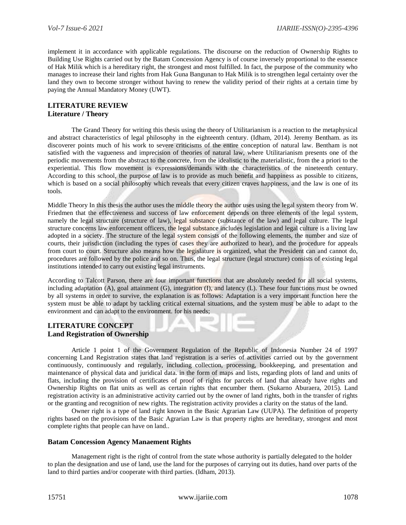implement it in accordance with applicable regulations. The discourse on the reduction of Ownership Rights to Building Use Rights carried out by the Batam Concession Agency is of course inversely proportional to the essence of Hak Milik which is a hereditary right, the strongest and most fulfilled. In fact, the purpose of the community who manages to increase their land rights from Hak Guna Bangunan to Hak Milik is to strengthen legal certainty over the land they own to become stronger without having to renew the validity period of their rights at a certain time by paying the Annual Mandatory Money (UWT).

# **LITERATURE REVIEW Literature / Theory**

The Grand Theory for writing this thesis using the theory of Utilitarianism is a reaction to the metaphysical and abstract characteristics of legal philosophy in the eighteenth century. (Idham, 2014). Jeremy Bentham. as its discoverer points much of his work to severe criticisms of the entire conception of natural law. Bentham is not satisfied with the vagueness and imprecision of theories of natural law, where Utilitarianism presents one of the periodic movements from the abstract to the concrete, from the idealistic to the materialistic, from the a priori to the experiential. This flow movement is expressions/demands with the characteristics of the nineteenth century. According to this school, the purpose of law is to provide as much benefit and happiness as possible to citizens, which is based on a social philosophy which reveals that every citizen craves happiness, and the law is one of its tools.

Middle Theory In this thesis the author uses the middle theory the author uses using the legal system theory from W. Friedmen that the effectiveness and success of law enforcement depends on three elements of the legal system, namely the legal structure (structure of law), legal substance (substance of the law) and legal culture. The legal structure concerns law enforcement officers, the legal substance includes legislation and legal culture is a living law adopted in a society. The structure of the legal system consists of the following elements, the number and size of courts, their jurisdiction (including the types of cases they are authorized to hear), and the procedure for appeals from court to court. Structure also means how the legislature is organized, what the President can and cannot do, procedures are followed by the police and so on. Thus, the legal structure (legal structure) consists of existing legal institutions intended to carry out existing legal instruments.

According to Talcott Parson, there are four important functions that are absolutely needed for all social systems, including adaptation (A), goal attainment (G), integration (I), and latency (L). These four functions must be owned by all systems in order to survive, the explanation is as follows: Adaptation is a very important function here the system must be able to adapt by tackling critical external situations, and the system must be able to adapt to the environment and can adapt to the environment. for his needs;

# **LITERATURE CONCEPT Land Registration of Ownership**

Article 1 point 1 of the Government Regulation of the Republic of Indonesia Number 24 of 1997 concerning Land Registration states that land registration is a series of activities carried out by the government continuously, continuously and regularly, including collection, processing, bookkeeping, and presentation and maintenance of physical data and juridical data. in the form of maps and lists, regarding plots of land and units of flats, including the provision of certificates of proof of rights for parcels of land that already have rights and Ownership Rights on flat units as well as certain rights that encumber them. (Sukarno Aburaera, 2015). Land registration activity is an administrative activity carried out by the owner of land rights, both in the transfer of rights or the granting and recognition of new rights. The registration activity provides a clarity on the status of the land.

Owner right is a type of land right known in the Basic Agrarian Law (UUPA). The definition of property rights based on the provisions of the Basic Agrarian Law is that property rights are hereditary, strongest and most complete rights that people can have on land..

## **Batam Concession Agency Manaement Rights**

Management right is the right of control from the state whose authority is partially delegated to the holder to plan the designation and use of land, use the land for the purposes of carrying out its duties, hand over parts of the land to third parties and/or cooperate with third parties. (Idham, 2013).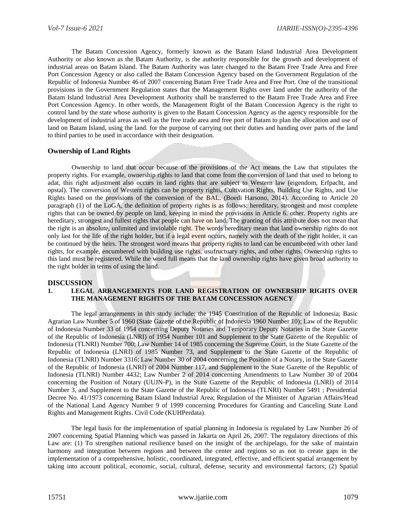The Batam Concession Agency, formerly known as the Batam Island Industrial Area Development Authority or also known as the Batam Authority, is the authority responsible for the growth and development of industrial areas on Batam Island. The Batam Authority was later changed to the Batam Free Trade Area and Free Port Concession Agency or also called the Batam Concession Agency based on the Government Regulation of the Republic of Indonesia Number 46 of 2007 concerning Batam Free Trade Area and Free Port. One of the transitional provisions in the Government Regulation states that the Management Rights over land under the authority of the Batam Island Industrial Area Development Authority shall be transferred to the Batam Free Trade Area and Free Port Concession Agency. In other words, the Management Right of the Batam Concession Agency is the right to control land by the state whose authority is given to the Batam Concession Agency as the agency responsible for the development of industrial areas as well as the free trade area and free port of Batam to plan the allocation and use of land on Batam Island, using the land. for the purpose of carrying out their duties and handing over parts of the land to third parties to be used in accordance with their designation.

# **Ownership of Land Rights**

Ownership to land that occur because of the provisions of the Act means the Law that stipulates the property rights. For example, ownership rights to land that come from the conversion of land that used to belong to adat, this right adjustment also occurs in land rights that are subject to Western law (eigendom, Erfpacht, and opstal). The conversion of Western rights can be property rights, Cultivation Rights, Building Use Rights, and Use Rights based on the provisions of the conversion of the BAL. (Boedi Harsono, 2014). According to Article 20 paragraph (1) of the LoGA, the definition of property rights is as follows: hereditary, strongest and most complete rights that can be owned by people on land, keeping in mind the provisions in Article 6. other. Property rights are hereditary, strongest and fullest rights that people can have on land. The granting of this attribute does not mean that the right is an absolute, unlimited and inviolable right. The words hereditary mean that land ownership rights do not only last for the life of the right holder, but if a legal event occurs, namely with the death of the right holder, it can be continued by the heirs. The strongest word means that property rights to land can be encumbered with other land rights, for example, encumbered with building use rights, usufructuary rights, and other rights. Ownership rights to this land must be registered. While the word full means that the land ownership rights have given broad authority to the right holder in terms of using the land.

## **DISCUSSION**

## **1. LEGAL ARRANGEMENTS FOR LAND REGISTRATION OF OWNERSHIP RIGHTS OVER THE MANAGEMENT RIGHTS OF THE BATAM CONCESSION AGENCY**

The legal arrangements in this study include: the 1945 Constitution of the Republic of Indonesia; Basic Agrarian Law Number 5 of 1960 (State Gazette of the Republic of Indonesia 1960 Number 10); Law of the Republic of Indonesia Number 33 of 1954 concerning Deputy Notaries and Temporary Deputy Notaries in the State Gazette of the Republic of Indonesia (LNRI) of 1954 Number 101 and Supplement to the State Gazette of the Republic of Indonesia (TLNRI) Number 700; Law Number 14 of 1985 concerning the Supreme Court, in the State Gazette of the Republic of Indonesia (LNRI) of 1985 Number 73, and Supplement to the State Gazette of the Republic of Indonesia (TLNRI) Number 3316; Law Number 30 of 2004 concerning the Position of a Notary, in the State Gazette of the Republic of Indonesia (LNRI) of 2004 Number 117, and Supplement to the State Gazette of the Republic of Indonesia (TLNRI) Number 4432; Law Number 2 of 2014 concerning Amendments to Law Number 30 of 2004 concerning the Position of Notary (UUJN-P), in the State Gazette of the Republic of Indonesia (LNRI) of 2014 Number 3, and Supplement to the State Gazette of the Republic of Indonesia (TLNRI) Number 5491 ; Presidential Decree No. 41/1973 concerning Batam Island Industrial Area; Regulation of the Minister of Agrarian Affairs/Head of the National Land Agency Number 9 of 1999 concerning Procedures for Granting and Canceling State Land Rights and Management Rights. Civil Code (KUHPerdata).

The legal basis for the implementation of spatial planning in Indonesia is regulated by Law Number 26 of 2007 concerning Spatial Planning which was passed in Jakarta on April 26, 2007. The regulatory directions of this Law are: (1) To strengthen national resilience based on the insight of the archipelago, for the sake of maintain harmony and integration between regions and between the center and regions so as not to create gaps in the implementation of a comprehensive, holistic, coordinated, integrated, effective, and efficient spatial arrangement by taking into account political, economic, social, cultural, defense, security and environmental factors; (2) Spatial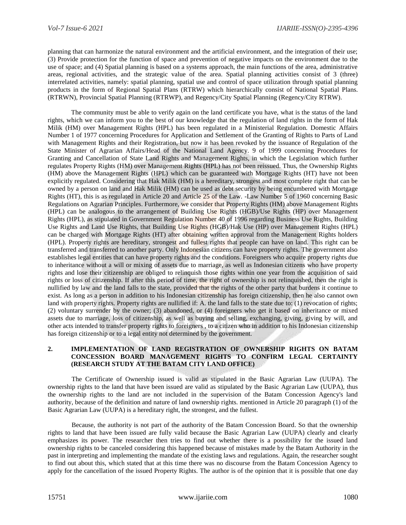planning that can harmonize the natural environment and the artificial environment, and the integration of their use; (3) Provide protection for the function of space and prevention of negative impacts on the environment due to the use of space; and (4) Spatial planning is based on a systems approach, the main functions of the area, administrative areas, regional activities, and the strategic value of the area. Spatial planning activities consist of 3 (three) interrelated activities, namely: spatial planning, spatial use and control of space utilization through spatial planning products in the form of Regional Spatial Plans (RTRW) which hierarchically consist of National Spatial Plans. (RTRWN), Provincial Spatial Planning (RTRWP), and Regency/City Spatial Planning (Regency/City RTRW).

The community must be able to verify again on the land certificate you have, what is the status of the land rights, which we can inform you to the best of our knowledge that the regulation of land rights in the form of Hak Milik (HM) over Management Rights (HPL) has been regulated in a Ministerial Regulation. Domestic Affairs Number 1 of 1977 concerning Procedures for Application and Settlement of the Granting of Rights to Parts of Land with Management Rights and their Registration, but now it has been revoked by the issuance of Regulation of the State Minister of Agrarian Affairs/Head of the National Land Agency. 9 of 1999 concerning Procedures for Granting and Cancellation of State Land Rights and Management Rights, in which the Legislation which further regulates Property Rights (HM) over Management Rights (HPL) has not been reissued. Thus, the Ownership Rights (HM) above the Management Rights (HPL) which can be guaranteed with Mortgage Rights (HT) have not been explicitly regulated. Considering that Hak Milik (HM) is a hereditary, strongest and most complete right that can be owned by a person on land and Hak Milik (HM) can be used as debt security by being encumbered with Mortgage Rights (HT), this is as regulated in Article 20 and Article 25 of the Law. -Law Number 5 of 1960 concerning Basic Regulations on Agrarian Principles. Furthermore, we consider that Property Rights (HM) above Management Rights (HPL) can be analogous to the arrangement of Building Use Rights (HGB)/Use Rights (HP) over Management Rights (HPL), as stipulated in Government Regulation Number 40 of 1996 regarding Business Use Rights, Building Use Rights and Land Use Rights, that Building Use Rights (HGB)/Hak Use (HP) over Management Rights (HPL) can be charged with Mortgage Rights (HT) after obtaining written approval from the Management Rights holders (HPL). Property rights are hereditary, strongest and fullest rights that people can have on land. This right can be transferred and transferred to another party. Only Indonesian citizens can have property rights. The government also establishes legal entities that can have property rights and the conditions. Foreigners who acquire property rights due to inheritance without a will or mixing of assets due to marriage, as well as Indonesian citizens who have property rights and lose their citizenship are obliged to relinquish those rights within one year from the acquisition of said rights or loss of citizenship. If after this period of time, the right of ownership is not relinquished, then the right is nullified by law and the land falls to the state, provided that the rights of the other party that burdens it continue to exist. As long as a person in addition to his Indonesian citizenship has foreign citizenship, then he also cannot own land with property rights. Property rights are nullified if: A. the land falls to the state due to: (1) revocation of rights; (2) voluntary surrender by the owner; (3) abandoned, or (4) foreigners who get it based on inheritance or mixed assets due to marriage, loss of citizenship, as well as buying and selling, exchanging, giving, giving by will, and other acts intended to transfer property rights to foreigners , to a citizen who in addition to his Indonesian citizenship has foreign citizenship or to a legal entity not determined by the government.

## **2. IMPLEMENTATION OF LAND REGISTRATION OF OWNERSHIP RIGHTS ON BATAM CONCESSION BOARD MANAGEMENT RIGHTS TO CONFIRM LEGAL CERTAINTY (RESEARCH STUDY AT THE BATAM CITY LAND OFFICE)**

The Certificate of Ownership issued is valid as stipulated in the Basic Agrarian Law (UUPA). The ownership rights to the land that have been issued are valid as stipulated by the Basic Agrarian Law (UUPA), thus the ownership rights to the land are not included in the supervision of the Batam Concession Agency's land authority, because of the definition and nature of land ownership rights. mentioned in Article 20 paragraph (1) of the Basic Agrarian Law (UUPA) is a hereditary right, the strongest, and the fullest.

Because, the authority is not part of the authority of the Batam Concession Board. So that the ownership rights to land that have been issued are fully valid because the Basic Agrarian Law (UUPA) clearly and clearly emphasizes its power. The researcher then tries to find out whether there is a possibility for the issued land ownership rights to be canceled considering this happened because of mistakes made by the Batam Authority in the past in interpreting and implementing the mandate of the existing laws and regulations. Again, the researcher sought to find out about this, which stated that at this time there was no discourse from the Batam Concession Agency to apply for the cancellation of the issued Property Rights. The author is of the opinion that it is possible that one day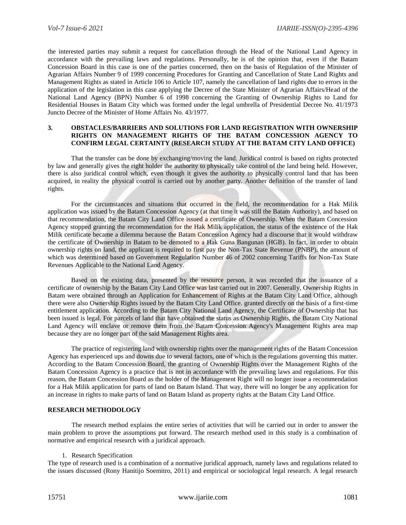the interested parties may submit a request for cancellation through the Head of the National Land Agency in accordance with the prevailing laws and regulations. Personally, he is of the opinion that, even if the Batam Concession Board in this case is one of the parties concerned, then on the basis of Regulation of the Minister of Agrarian Affairs Number 9 of 1999 concerning Procedures for Granting and Cancellation of State Land Rights and Management Rights as stated in Article 106 to Article 107, namely the cancellation of land rights due to errors in the application of the legislation in this case applying the Decree of the State Minister of Agrarian Affairs/Head of the National Land Agency (BPN) Number 6 of 1998 concerning the Granting of Ownership Rights to Land for Residential Houses in Batam City which was formed under the legal umbrella of Presidential Decree No. 41/1973 Juncto Decree of the Minister of Home Affairs No. 43/1977.

#### **3. OBSTACLES/BARRIERS AND SOLUTIONS FOR LAND REGISTRATION WITH OWNERSHIP RIGHTS ON MANAGEMENT RIGHTS OF THE BATAM CONCESSION AGENCY TO CONFIRM LEGAL CERTAINTY (RESEARCH STUDY AT THE BATAM CITY LAND OFFICE)**

That the transfer can be done by exchanging/moving the land. Juridical control is based on rights protected by law and generally gives the right holder the authority to physically take control of the land being held. However, there is also juridical control which, even though it gives the authority to physically control land that has been acquired, in reality the physical control is carried out by another party. Another definition of the transfer of land rights.

For the circumstances and situations that occurred in the field, the recommendation for a Hak Milik application was issued by the Batam Concession Agency (at that time it was still the Batam Authority), and based on that recommendation, the Batam City Land Office issued a certificate of Ownership. When the Batam Concession Agency stopped granting the recommendation for the Hak Milik application, the status of the existence of the Hak Milik certificate became a dilemma because the Batam Concession Agency had a discourse that it would withdraw the certificate of Ownership in Batam to be demoted to a Hak Guna Bangunan (HGB). In fact, in order to obtain ownership rights on land, the applicant is required to first pay the Non-Tax State Revenue (PNBP), the amount of which was determined based on Government Regulation Number 46 of 2002 concerning Tariffs for Non-Tax State Revenues Applicable to the National Land Agency.

Based on the existing data, presented by the resource person, it was recorded that the issuance of a certificate of ownership by the Batam City Land Office was last carried out in 2007. Generally, Ownership Rights in Batam were obtained through an Application for Enhancement of Rights at the Batam City Land Office, although there were also Ownership Rights issued by the Batam City Land Office. granted directly on the basis of a first-time entitlement application. According to the Batam City National Land Agency, the Certificate of Ownership that has been issued is legal. For parcels of land that have obtained the status as Ownership Rights, the Batam City National Land Agency will enclave or remove them from the Batam Concession Agency's Management Rights area map because they are no longer part of the said Management Rights area.

The practice of registering land with ownership rights over the management rights of the Batam Concession Agency has experienced ups and downs due to several factors, one of which is the regulations governing this matter. According to the Batam Concession Board, the granting of Ownership Rights over the Management Rights of the Batam Concession Agency is a practice that is not in accordance with the prevailing laws and regulations. For this reason, the Batam Concession Board as the holder of the Management Right will no longer issue a recommendation for a Hak Milik application for parts of land on Batam Island. That way, there will no longer be any application for an increase in rights to make parts of land on Batam Island as property rights at the Batam City Land Office.

## **RESEARCH METHODOLOGY**

The research method explains the entire series of activities that will be carried out in order to answer the main problem to prove the assumptions put forward. The research method used in this study is a combination of normative and empirical research with a juridical approach.

#### 1. Research Specification

The type of research used is a combination of a normative juridical approach, namely laws and regulations related to the issues discussed (Rony Hanitijo Soemitro, 2011) and empirical or sociological legal research. A legal research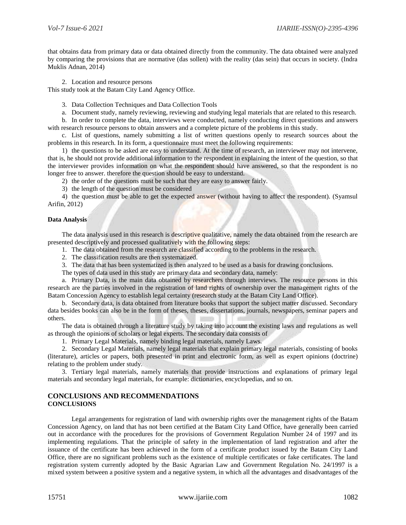that obtains data from primary data or data obtained directly from the community. The data obtained were analyzed by comparing the provisions that are normative (das sollen) with the reality (das sein) that occurs in society. (Indra Muklis Adnan, 2014)

2. Location and resource persons

This study took at the Batam City Land Agency Office.

3. Data Collection Techniques and Data Collection Tools

a. Document study, namely reviewing, reviewing and studying legal materials that are related to this research.

b. In order to complete the data, interviews were conducted, namely conducting direct questions and answers with research resource persons to obtain answers and a complete picture of the problems in this study.

c. List of questions, namely submitting a list of written questions openly to research sources about the problems in this research. In its form, a questionnaire must meet the following requirements:

1) the questions to be asked are easy to understand. At the time of research, an interviewer may not intervene, that is, he should not provide additional information to the respondent in explaining the intent of the question, so that the interviewer provides information on what the respondent should have answered, so that the respondent is no longer free to answer. therefore the question should be easy to understand.

2) the order of the questions must be such that they are easy to answer fairly.

3) the length of the question must be considered

4) the question must be able to get the expected answer (without having to affect the respondent). (Syamsul Arifin, 2012)

#### **Data Analysis**

The data analysis used in this research is descriptive qualitative, namely the data obtained from the research are presented descriptively and processed qualitatively with the following steps:

1. The data obtained from the research are classified according to the problems in the research.

2. The classification results are then systematized.

3. The data that has been systematized is then analyzed to be used as a basis for drawing conclusions.

The types of data used in this study are primary data and secondary data, namely:

a. Primary Data, is the main data obtained by researchers through interviews. The resource persons in this research are the parties involved in the registration of land rights of ownership over the management rights of the Batam Concession Agency to establish legal certainty (research study at the Batam City Land Office).

b. Secondary data, is data obtained from literature books that support the subject matter discussed. Secondary data besides books can also be in the form of theses, theses, dissertations, journals, newspapers, seminar papers and others.

The data is obtained through a literature study by taking into account the existing laws and regulations as well as through the opinions of scholars or legal experts. The secondary data consists of

1. Primary Legal Materials, namely binding legal materials, namely Laws.

2. Secondary Legal Materials, namely legal materials that explain primary legal materials, consisting of books (literature), articles or papers, both presented in print and electronic form, as well as expert opinions (doctrine) relating to the problem under study.

3. Tertiary legal materials, namely materials that provide instructions and explanations of primary legal materials and secondary legal materials, for example: dictionaries, encyclopedias, and so on.

## **CONCLUSIONS AND RECOMMENDATIONS CONCLUSIONS**

Legal arrangements for registration of land with ownership rights over the management rights of the Batam Concession Agency, on land that has not been certified at the Batam City Land Office, have generally been carried out in accordance with the procedures for the provisions of Government Regulation Number 24 of 1997 and its implementing regulations. That the principle of safety in the implementation of land registration and after the issuance of the certificate has been achieved in the form of a certificate product issued by the Batam City Land Office, there are no significant problems such as the existence of multiple certificates or fake certificates. The land registration system currently adopted by the Basic Agrarian Law and Government Regulation No. 24/1997 is a mixed system between a positive system and a negative system, in which all the advantages and disadvantages of the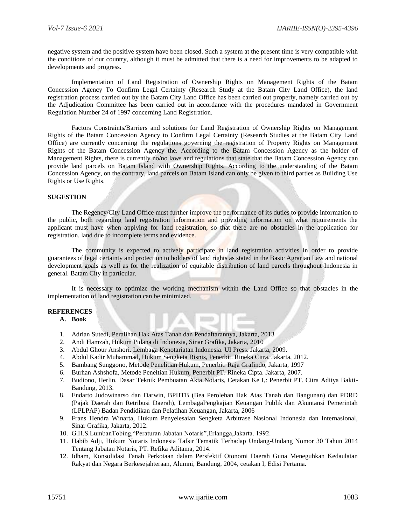negative system and the positive system have been closed. Such a system at the present time is very compatible with the conditions of our country, although it must be admitted that there is a need for improvements to be adapted to developments and progress.

Implementation of Land Registration of Ownership Rights on Management Rights of the Batam Concession Agency To Confirm Legal Certainty (Research Study at the Batam City Land Office), the land registration process carried out by the Batam City Land Office has been carried out properly, namely carried out by the Adjudication Committee has been carried out in accordance with the procedures mandated in Government Regulation Number 24 of 1997 concerning Land Registration.

Factors Constraints/Barriers and solutions for Land Registration of Ownership Rights on Management Rights of the Batam Concession Agency to Confirm Legal Certainty (Research Studies at the Batam City Land Office) are currently concerning the regulations governing the registration of Property Rights on Management Rights of the Batam Concession Agency the. According to the Batam Concession Agency as the holder of Management Rights, there is currently no/no laws and regulations that state that the Batam Concession Agency can provide land parcels on Batam Island with Ownership Rights. According to the understanding of the Batam Concession Agency, on the contrary, land parcels on Batam Island can only be given to third parties as Building Use Rights or Use Rights.

# **SUGESTION**

The Regency/City Land Office must further improve the performance of its duties to provide information to the public, both regarding land registration information and providing information on what requirements the applicant must have when applying for land registration, so that there are no obstacles in the application for registration. land due to incomplete terms and evidence.

The community is expected to actively participate in land registration activities in order to provide guarantees of legal certainty and protection to holders of land rights as stated in the Basic Agrarian Law and national development goals as well as for the realization of equitable distribution of land parcels throughout Indonesia in general. Batam City in particular.

It is necessary to optimize the working mechanism within the Land Office so that obstacles in the implementation of land registration can be minimized.

## **REFERENCES**

**A. Book**

- 1. Adrian Sutedi, Peralihan Hak Atas Tanah dan Pendaftarannya, Jakarta, 2013
- 2. Andi Hamzah, Hukum Pidana di Indonesia, Sinar Grafika, Jakarta, 2010
- 3. Abdul Ghour Anshori. Lembaga Kenotariatan Indonesia. UI Press. Jakarta, 2009.
- 4. Abdul Kadir Muhammad, Hukum Sengketa Bisnis, Penerbit. Rineka Citra, Jakarta, 2012.
- 5. Bambang Sunggono, Metode Penelitian Hukum, Penerbit. Raja Grafindo, Jakarta, 1997
- 6. Burhan Ashshofa, Metode Peneltian Hukum, Penerbit PT. Rineka Cipta. Jakarta, 2007.
- 7. Budiono, Herlin, Dasar Teknik Pembuatan Akta Notaris, Cetakan Ke I,: Penerbit PT. Citra Aditya Bakti-Bandung, 2013.
- 8. Endarto Judowinarso dan Darwin, BPHTB (Bea Perolehan Hak Atas Tanah dan Bangunan) dan PDRD (Pajak Daerah dan Retribusi Daerah), LembagaPengkajian Keuangan Publik dan Akuntansi Pemerintah (LPLPAP) Badan Pendidikan dan Pelatihan Keuangan, Jakarta, 2006
- 9. Frans Hendra Winarta, Hukum Penyelesaian Sengketa Arbitrase Nasional Indonesia dan Internasional, Sinar Grafika, Jakarta, 2012.
- 10. G.H.S.LumbanTobing,"Peraturan Jabatan Notaris",Erlangga,Jakarta. 1992.
- 11. Habib Adji, Hukum Notaris Indonesia Tafsir Tematik Terhadap Undang-Undang Nomor 30 Tahun 2014 Tentang Jabatan Notaris, PT. Refika Aditama, 2014.
- 12. Idham, Konsolidasi Tanah Perkotaan dalam Persfektif Otonomi Daerah Guna Meneguhkan Kedaulatan Rakyat dan Negara Berkesejahteraan, Alumni, Bandung, 2004, cetakan I, Edisi Pertama.